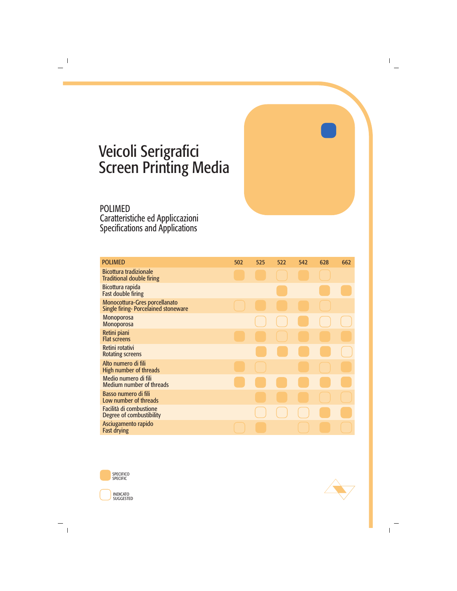# Veicoli Serigrafici Screen Printing Media

POLIMED Caratteristiche ed Appliccazioni Specifications and Applications

| <b>POLIMED</b>                                                              | 502 | 525 | 522 | 542 | 628 | 662 |
|-----------------------------------------------------------------------------|-----|-----|-----|-----|-----|-----|
| <b>Bicottura tradizionale</b><br><b>Traditional double firing</b>           |     |     |     |     |     |     |
| Bicottura rapida<br><b>Fast double firing</b>                               |     |     |     |     |     |     |
| Monocottura-Gres porcellanato<br><b>Single firing-Porcelained stoneware</b> |     |     |     |     |     |     |
| <b>Monoporosa</b><br><b>Monoporosa</b>                                      |     |     |     |     |     |     |
| Retini piani<br><b>Flat screens</b>                                         |     |     |     |     |     |     |
| Retini rotativi<br><b>Rotating screens</b>                                  |     |     |     |     |     |     |
| Alto numero di fili<br>High number of threads                               |     |     |     |     |     |     |
| Medio numero di fili<br><b>Medium number of threads</b>                     |     |     |     |     |     |     |
| Basso numero di fili<br>Low number of threads                               |     |     |     |     |     |     |
| Facilità di combustione<br>Degree of combustibility                         |     |     |     |     |     |     |
| Asciugamento rapido<br><b>Fast drying</b>                                   |     |     |     |     |     |     |



SUGGESTED

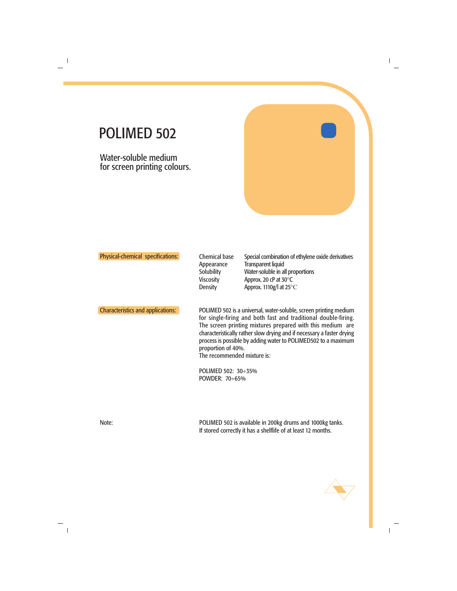Water-soluble medium for screen printing colours.

| <b>Physical-chemical specifications:</b> | <b>Chemical base</b><br>Appearance<br>Solubility<br><b>Viscosity</b><br><b>Density</b>                                                                                                                                                                                                                                                                                                             | Special combination of ethylene oxide derivatives<br><b>Transparent liquid</b><br>Water-soluble in all proportions<br>Approx. 20 cP at 30°C<br>Approx. 1110g/l at 25°C |
|------------------------------------------|----------------------------------------------------------------------------------------------------------------------------------------------------------------------------------------------------------------------------------------------------------------------------------------------------------------------------------------------------------------------------------------------------|------------------------------------------------------------------------------------------------------------------------------------------------------------------------|
| <b>Characteristics and applications:</b> | POLIMED 502 is a universal, water-soluble, screen printing medium<br>for single-firing and both fast and traditional double-firing.<br>The screen printing mixtures prepared with this medium are<br>characteristically rather slow drying and if necessary a faster drying<br>process is possible by adding water to POLIMED502 to a maximum<br>proportion of 40%.<br>The recommended mixture is: |                                                                                                                                                                        |
|                                          | POLIMED 502: 30÷35%<br>POWDER: 70÷65%                                                                                                                                                                                                                                                                                                                                                              |                                                                                                                                                                        |

Note: POLIMED 502 is available in 200kg drums and 1000kg tanks. If stored correctly it has a shelflife of at least 12 months.

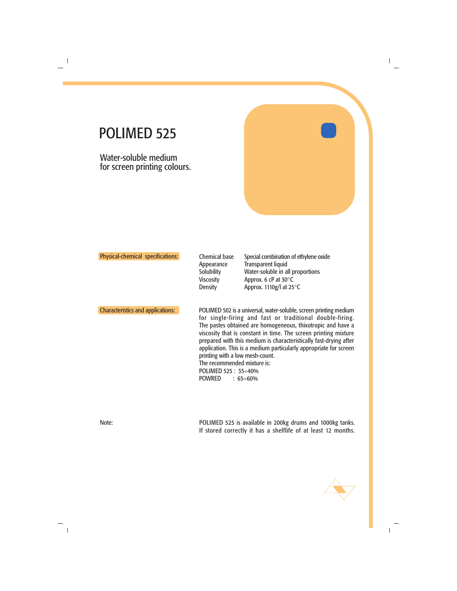Water-soluble medium for screen printing colours.

| <b>Physical-chemical specifications:</b> | <b>Chemical base</b><br>Appearance<br>Solubility<br><b>Viscosity</b><br><b>Density</b> | Special combination of ethylene oxide<br><b>Transparent liquid</b><br>Water-soluble in all proportions<br>Approx. 6 cP at $30^{\circ}$ C<br>Approx. 1110g/l at $25^{\circ}$ C                                                                                                                                                                                                                             |
|------------------------------------------|----------------------------------------------------------------------------------------|-----------------------------------------------------------------------------------------------------------------------------------------------------------------------------------------------------------------------------------------------------------------------------------------------------------------------------------------------------------------------------------------------------------|
| <b>Characteristics and applications:</b> | printing with a low mesh-count.<br>The recommended mixture is:                         | POLIMED 502 is a universal, water-soluble, screen printing medium<br>for single-firing and fast or traditional double-firing.<br>The pastes obtained are homogeneous, thixotropic and have a<br>viscosity that is constant in time. The screen printing mixture<br>prepared with this medium is characteristically fast-drying after<br>application. This is a medium particularly appropriate for screen |

POLIMED 525 : 35÷40% POWRED : 65÷60%

Note: POLIMED 525 is available in 200kg drums and 1000kg tanks. If stored correctly it has a shelflife of at least 12 months.

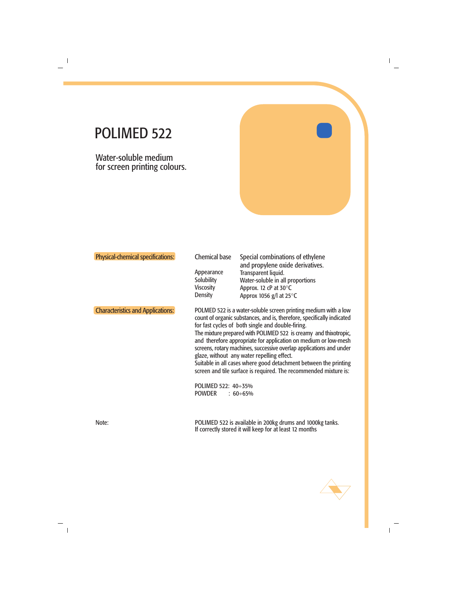Water-soluble medium for screen printing colours.

| <b>Physical-chemical specifications:</b> | <b>Chemical base</b><br>Appearance<br>Solubility<br><b>Viscosity</b><br><b>Density</b> | Special combinations of ethylene<br>and propylene oxide derivatives.<br>Transparent liquid.<br>Water-soluble in all proportions<br>Approx. 12 cP at 30°C<br>Approx 1056 g/l at $25^{\circ}$ C                                                                                                                                                                                                                                                                                                                                                                                                                         |
|------------------------------------------|----------------------------------------------------------------------------------------|-----------------------------------------------------------------------------------------------------------------------------------------------------------------------------------------------------------------------------------------------------------------------------------------------------------------------------------------------------------------------------------------------------------------------------------------------------------------------------------------------------------------------------------------------------------------------------------------------------------------------|
| <b>Characteristics and Applications:</b> | POLIMED 522: 40÷35%<br><b>POWDER</b>                                                   | POLMED 522 is a water-soluble screen printing medium with a low<br>count of organic substances, and is, therefore, specifically indicated<br>for fast cycles of both single and double-firing.<br>The mixture prepared with POLIMED 522 is creamy and thixotropic,<br>and therefore appropriate for application on medium or low-mesh<br>screens, rotary machines, successive overlap applications and under<br>glaze, without any water repelling effect.<br>Suitable in all cases where good detachment between the printing<br>screen and tile surface is required. The recommended mixture is:<br>$:60 \div 65\%$ |

Note: POLIMED 522 is available in 200kg drums and 1000kg tanks. If correctly stored it will keep for at least 12 months

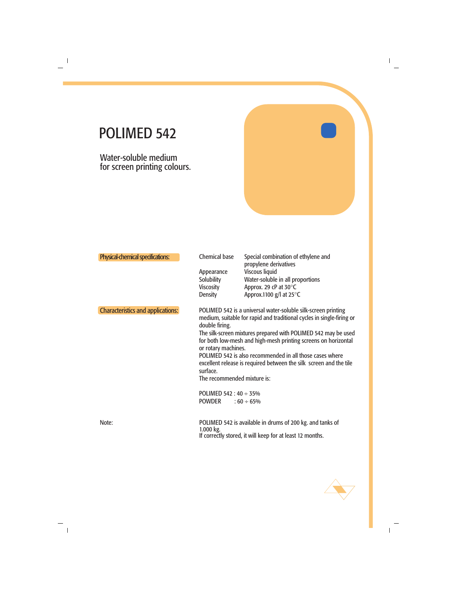Water-soluble medium for screen printing colours.

| Physical-chemical specifications:        | <b>Chemical base</b><br>Appearance<br><b>Solubility</b><br><b>Viscosity</b><br><b>Density</b>                                     | Special combination of ethylene and<br>propylene derivatives<br><b>Viscous liquid</b><br>Water-soluble in all proportions<br>Approx. 29 cP at 30°C<br>Approx.1100 $g$ /l at 25 $\degree$ C                                                                                                                                                                                                                                      |
|------------------------------------------|-----------------------------------------------------------------------------------------------------------------------------------|---------------------------------------------------------------------------------------------------------------------------------------------------------------------------------------------------------------------------------------------------------------------------------------------------------------------------------------------------------------------------------------------------------------------------------|
| <b>Characteristics and applications:</b> | double firing.<br>or rotary machines.<br>surface.<br>The recommended mixture is:<br>POLIMED 542 : $40 \div 35\%$<br><b>POWDER</b> | POLIMED 542 is a universal water-soluble silk-screen printing<br>medium, suitable for rapid and traditional cycles in single-firing or<br>The silk-screen mixtures prepared with POLIMED 542 may be used<br>for both low-mesh and high-mesh printing screens on horizontal<br>POLIMED 542 is also recommended in all those cases where<br>excellent release is required between the silk screen and the tile<br>$:60 \div 65\%$ |
| Note:                                    | $1.000$ kg.                                                                                                                       | POLIMED 542 is available in drums of 200 kg. and tanks of<br>If correctly stored, it will keep for at least 12 months.                                                                                                                                                                                                                                                                                                          |

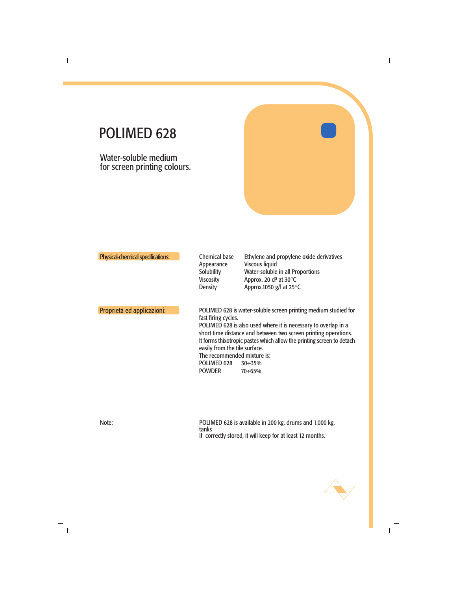Water-soluble medium for screen printing colours.

| Physical-chemical specifications: |  |  |
|-----------------------------------|--|--|
|                                   |  |  |
|                                   |  |  |

Chemical base Appearance **Solubility** Viscosity **Density** 

Ethylene and propylene oxide derivatives Viscous liquid Water-soluble in all Proportions Approx. 20 cP at 30°C Approx.1050 g/l at 25°C

Proprietà ed applicazioni: POLIMED 628 is water-soluble screen printing medium studied for fast firing cycles. POLIMED 628 is also used where it is necessary to overlap in a short time distance and between two screen printing operations. It forms thixotropic pastes which allow the printing screen to detach easily from the tile surface. The recommended mixture is: POLIMED 628 30÷35%<br>POWDER 70÷65% **POWDER** 

Note: POLIMED 628 is available in 200 kg. drums and 1.000 kg. tanks If correctly stored, it will keep for at least 12 months.

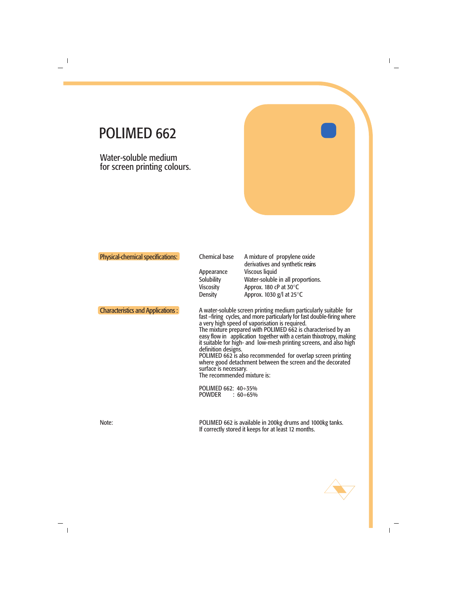Water-soluble medium for screen printing colours.

| <b>Physical-chemical specifications:</b> | <b>Chemical base</b><br>Appearance<br>Solubility<br><b>Viscosity</b><br><b>Density</b>                              | A mixture of propylene oxide<br>derivatives and synthetic resins<br><b>Viscous liquid</b><br>Water-soluble in all proportions.<br>Approx. 180 cP at 30°C<br>Approx. 1030 $g$ /l at 25 $\degree$ C                                                                                                                                                                                                                                                                                                                                                           |
|------------------------------------------|---------------------------------------------------------------------------------------------------------------------|-------------------------------------------------------------------------------------------------------------------------------------------------------------------------------------------------------------------------------------------------------------------------------------------------------------------------------------------------------------------------------------------------------------------------------------------------------------------------------------------------------------------------------------------------------------|
| <b>Characteristics and Applications:</b> | definition designs.<br>surface is necessary.<br>The recommended mixture is:<br>POLIMED 662: 40÷35%<br><b>POWDER</b> | A water-soluble screen printing medium particularly suitable for<br>fast -firing cycles, and more particularly for fast double-firing where<br>a very high speed of vaporisation is required.<br>The mixture prepared with POLIMED 662 is characterised by an<br>easy flow in application together with a certain thixotropy, making<br>it suitable for high- and low-mesh printing screens, and also high<br>POLIMED 662 is also recommended for overlap screen printing<br>where good detachment between the screen and the decorated<br>: $60 \div 65\%$ |
| Note:                                    |                                                                                                                     | POLIMED 662 is available in 200kg drums and 1000kg tanks.<br>If correctly stored it keeps for at least 12 months.                                                                                                                                                                                                                                                                                                                                                                                                                                           |

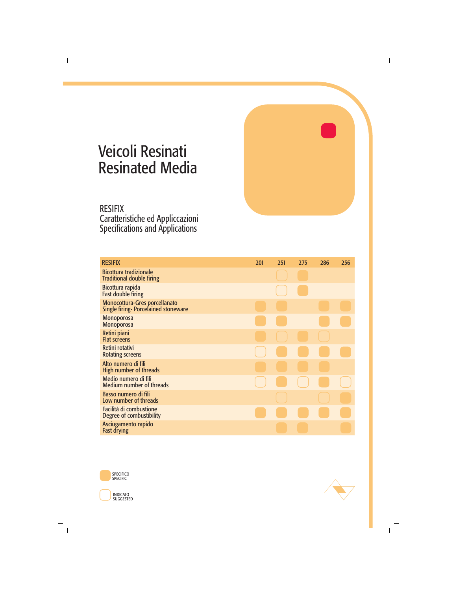# Veicoli Resinati Resinated Media

#### RESIFIX Caratteristiche ed Appliccazioni Specifications and Applications

| <b>RESIFIX</b>                                                                     | 201 | 251 | 275 | 286 | 256 |
|------------------------------------------------------------------------------------|-----|-----|-----|-----|-----|
| <b>Bicottura tradizionale</b><br><b>Traditional double firing</b>                  |     |     |     |     |     |
| Bicottura rapida<br><b>Fast double firing</b>                                      |     |     |     |     |     |
| <b>Monocottura-Gres porcellanato</b><br><b>Single firing-Porcelained stoneware</b> |     |     |     |     |     |
| <b>Monoporosa</b><br><b>Monoporosa</b>                                             |     |     |     |     |     |
| Retini piani<br><b>Flat screens</b>                                                |     |     |     |     |     |
| Retini rotativi<br><b>Rotating screens</b>                                         |     |     |     |     |     |
| Alto numero di fili<br><b>High number of threads</b>                               |     |     |     |     |     |
| Medio numero di fili<br><b>Medium number of threads</b>                            |     |     |     |     |     |
| Basso numero di fili<br>Low number of threads                                      |     |     |     |     |     |
| Facilità di combustione<br>Degree of combustibility                                |     |     |     |     |     |
| Asciugamento rapido<br><b>Fast drying</b>                                          |     |     |     |     |     |





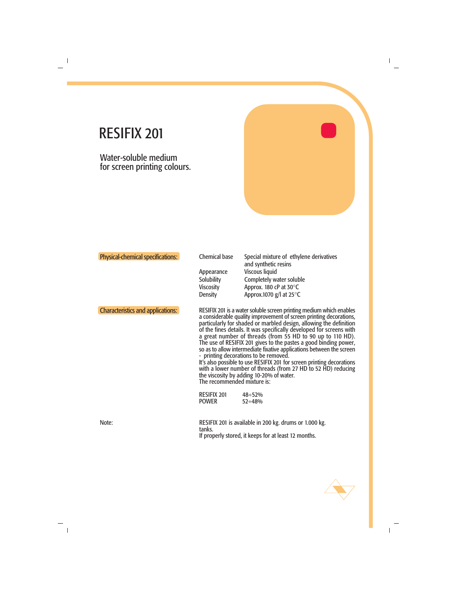Water-soluble medium for screen printing colours.

| <b>Physical-chemical specifications:</b> | <b>Chemical base</b><br>Appearance<br><b>Solubility</b><br><b>Viscosity</b><br><b>Density</b> | Special mixture of ethylene derivatives<br>and synthetic resins<br><b>Viscous liquid</b><br>Completely water soluble<br>Approx. 180 cP at 30°C<br>Approx.1070 g/l at 25°C                                                                                                                                                                                                                                                                                                                                                                                                                                                                                                                                                                                            |
|------------------------------------------|-----------------------------------------------------------------------------------------------|----------------------------------------------------------------------------------------------------------------------------------------------------------------------------------------------------------------------------------------------------------------------------------------------------------------------------------------------------------------------------------------------------------------------------------------------------------------------------------------------------------------------------------------------------------------------------------------------------------------------------------------------------------------------------------------------------------------------------------------------------------------------|
| <b>Characteristics and applications:</b> | The recommended mixture is:<br><b>RESIFIX 201</b><br><b>POWER</b>                             | RESIFIX 201 is a water soluble screen printing medium which enables<br>a considerable quality improvement of screen printing decorations,<br>particularly for shaded or marbled design, allowing the definition<br>of the fines details. It was specifically developed for screens with<br>a great number of threads (from 55 HD to 90 up to 110 HD).<br>The use of RESIFIX 201 gives to the pastes a good binding power,<br>so as to allow intermediate fixative applications between the screen<br>- printing decorations to be removed.<br>It's also possible to use RESIFIX 201 for screen printing decorations<br>with a lower number of threads (from 27 HD to 52 HD) reducing<br>the viscosity by adding 10-20% of water.<br>$48 \div 52\%$<br>$52 \div 48\%$ |
| Note:                                    | tanks.                                                                                        | RESIFIX 201 is available in 200 kg. drums or 1.000 kg.<br>If properly stored, it keeps for at least 12 months.                                                                                                                                                                                                                                                                                                                                                                                                                                                                                                                                                                                                                                                       |

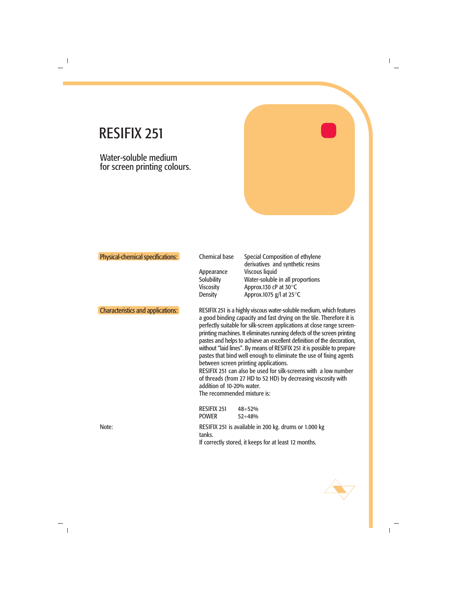Water-soluble medium for screen printing colours.

| <b>Physical-chemical specifications:</b> | <b>Chemical base</b><br>Appearance<br>Solubility<br><b>Viscosity</b><br><b>Density</b> | Special Composition of ethylene<br>derivatives and synthetic resins<br>Viscous liquid<br>Water-soluble in all proportions<br>Approx.130 cP at 30°C<br>Approx.1075 g/l at $25^{\circ}$ C                                                                                                                                                                                                                                                                                                                                                                                                                                                                                                                   |
|------------------------------------------|----------------------------------------------------------------------------------------|-----------------------------------------------------------------------------------------------------------------------------------------------------------------------------------------------------------------------------------------------------------------------------------------------------------------------------------------------------------------------------------------------------------------------------------------------------------------------------------------------------------------------------------------------------------------------------------------------------------------------------------------------------------------------------------------------------------|
| <b>Characteristics and applications:</b> | addition of 10-20% water.<br>The recommended mixture is:                               | RESIFIX 251 is a highly viscous water-soluble medium, which features<br>a good binding capacity and fast drying on the tile. Therefore it is<br>perfectly suitable for silk-screen applications at close range screen-<br>printing machines. It eliminates running defects of the screen printing<br>pastes and helps to achieve an excellent definition of the decoration,<br>without "laid lines". By means of RESIFIX 251 it is possible to prepare<br>pastes that bind well enough to eliminate the use of fixing agents<br>between screen printing applications.<br>RESIFIX 251 can also be used for silk-screens with a low number<br>of threads (from 27 HD to 52 HD) by decreasing viscosity with |
| Note:                                    | <b>RESIFIX 251</b><br><b>POWER</b><br>tanks.                                           | $48 \div 52\%$<br>$52 \div 48\%$<br>RESIFIX 251 is available in 200 kg. drums or 1.000 kg<br>If correctly stored, it keeps for at least 12 months.                                                                                                                                                                                                                                                                                                                                                                                                                                                                                                                                                        |
|                                          |                                                                                        |                                                                                                                                                                                                                                                                                                                                                                                                                                                                                                                                                                                                                                                                                                           |

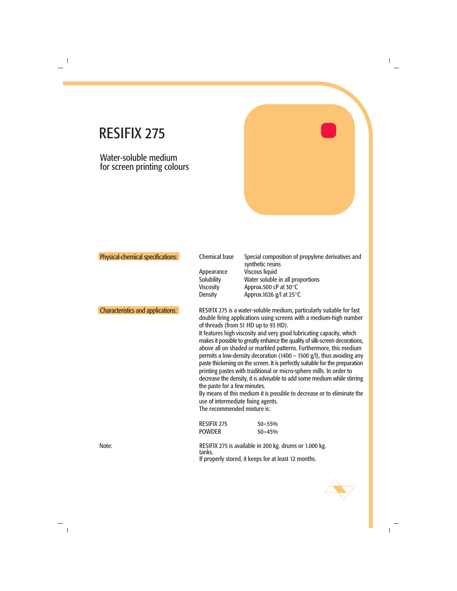Water-soluble medium for screen printing colours

| Physical-chemical specifications:        | <b>Chemical base</b><br>Appearance<br>Solubility<br><b>Viscosity</b><br><b>Density</b>            | Special composition of propylene derivatives and<br>synthetic resins<br>Viscous liquid<br>Water soluble in all proportions<br>Approx.500 cP at 30°C<br>Approx.1026 g/l at $25^{\circ}$ C                                                                                                                                                                                                                                                                                                                                                                                                                                                                                                                                                                                                                 |
|------------------------------------------|---------------------------------------------------------------------------------------------------|----------------------------------------------------------------------------------------------------------------------------------------------------------------------------------------------------------------------------------------------------------------------------------------------------------------------------------------------------------------------------------------------------------------------------------------------------------------------------------------------------------------------------------------------------------------------------------------------------------------------------------------------------------------------------------------------------------------------------------------------------------------------------------------------------------|
| <b>Characteristics and applications:</b> | the paste for a few minutes.<br>use of intermediate fixing agents.<br>The recommended mixture is: | RESIFIX 275 is a water-soluble medium, particularly suitable for fast<br>double firing applications using screens with a medium-high number<br>of threads (from 51 HD up to 93 HD).<br>It features high viscosity and very good lubricating capacity, which<br>makes it possible to greatly enhance the quality of silk-screen decorations,<br>above all on shaded or marbled patterns. Furthermore, this medium<br>permits a low-density decoration (1400 – 1500 $g/l$ ), thus avoiding any<br>paste thickening on the screen. It is perfectly suitable for the preparation<br>printing pastes with traditional or micro-sphere mills. In order to<br>decrease the density, it is advisable to add some medium while stirring<br>By means of this medium it is possible to decrease or to eliminate the |
|                                          | <b>RESIFIX 275</b><br><b>POWDER</b>                                                               | $50 \div 55\%$<br>$50 \div 45\%$                                                                                                                                                                                                                                                                                                                                                                                                                                                                                                                                                                                                                                                                                                                                                                         |
| Note:                                    | tanks.                                                                                            | RESIFIX 275 is available in 200 kg. drums or 1.000 kg.<br>If properly stored, it keeps for at least 12 months.                                                                                                                                                                                                                                                                                                                                                                                                                                                                                                                                                                                                                                                                                           |

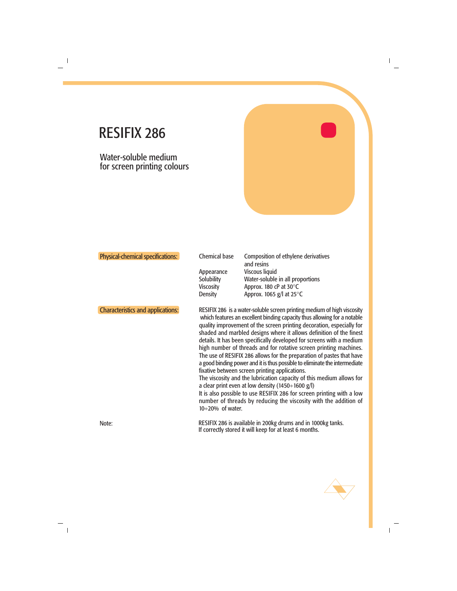Water-soluble medium for screen printing colours

| <b>Physical-chemical specifications:</b> | <b>Chemical base</b><br>Appearance<br>Solubility<br><b>Viscosity</b><br><b>Density</b> | <b>Composition of ethylene derivatives</b><br>and resins<br>Viscous liquid<br>Water-soluble in all proportions<br>Approx. 180 cP at 30°C<br>Approx. 1065 $g$ /l at 25 $\degree$ C                                                                                                                                                                                                                                                                                                                                                                                                                                                                                                                                                                                                                                                                                                                                                    |
|------------------------------------------|----------------------------------------------------------------------------------------|--------------------------------------------------------------------------------------------------------------------------------------------------------------------------------------------------------------------------------------------------------------------------------------------------------------------------------------------------------------------------------------------------------------------------------------------------------------------------------------------------------------------------------------------------------------------------------------------------------------------------------------------------------------------------------------------------------------------------------------------------------------------------------------------------------------------------------------------------------------------------------------------------------------------------------------|
| <b>Characteristics and applications:</b> | $10 \div 20\%$ of water.                                                               | RESIFIX 286 is a water-soluble screen printing medium of high viscosity<br>which features an excellent binding capacity thus allowing for a notable<br>quality improvement of the screen printing decoration, especially for<br>shaded and marbled designs where it allows definition of the finest<br>details. It has been specifically developed for screens with a medium<br>high number of threads and for rotative screen printing machines.<br>The use of RESIFIX 286 allows for the preparation of pastes that have<br>a good binding power and it is thus possible to eliminate the intermediate<br>fixative between screen printing applications.<br>The viscosity and the lubrication capacity of this medium allows for<br>a clear print even at low density (1450÷1600 g/l)<br>It is also possible to use RESIFIX 286 for screen printing with a low<br>number of threads by reducing the viscosity with the addition of |
| Note:                                    |                                                                                        | RESIFIX 286 is available in 200kg drums and in 1000kg tanks.<br>If correctly stored it will keep for at least 6 months.                                                                                                                                                                                                                                                                                                                                                                                                                                                                                                                                                                                                                                                                                                                                                                                                              |

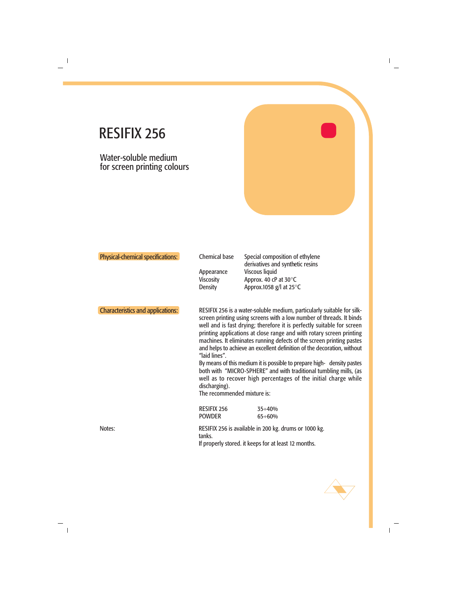Water-soluble medium for screen printing colours

| Physical-chemical specifications:        | <b>Chemical base</b><br>Appearance<br><b>Viscosity</b><br><b>Density</b>                                                                                                                                                                                                                                                                                                                                                                                                                                                                                                                                                                                                                                                                | Special composition of ethylene<br>derivatives and synthetic resins<br><b>Viscous liquid</b><br>Approx. 40 cP at 30°C<br>Approx.1058 $g$ /l at 25 $\degree$ C |
|------------------------------------------|-----------------------------------------------------------------------------------------------------------------------------------------------------------------------------------------------------------------------------------------------------------------------------------------------------------------------------------------------------------------------------------------------------------------------------------------------------------------------------------------------------------------------------------------------------------------------------------------------------------------------------------------------------------------------------------------------------------------------------------------|---------------------------------------------------------------------------------------------------------------------------------------------------------------|
| <b>Characteristics and applications:</b> | RESIFIX 256 is a water-soluble medium, particularly suitable for silk-<br>screen printing using screens with a low number of threads. It binds<br>well and is fast drying; therefore it is perfectly suitable for screen<br>printing applications at close range and with rotary screen printing<br>machines. It eliminates running defects of the screen printing pastes<br>and helps to achieve an excellent definition of the decoration, without<br>"laid lines".<br>By means of this medium it is possible to prepare high- density pastes<br>both with "MICRO-SPHERE" and with traditional tumbling mills, (as<br>well as to recover high percentages of the initial charge while<br>discharging).<br>The recommended mixture is: |                                                                                                                                                               |
| Notes:                                   | <b>RESIFIX 256</b><br><b>POWDER</b><br>tanks.                                                                                                                                                                                                                                                                                                                                                                                                                                                                                                                                                                                                                                                                                           | $35 \div 40\%$<br>$65 \div 60\%$<br>RESIFIX 256 is available in 200 kg. drums or 1000 kg.<br>If properly stored. it keeps for at least 12 months.             |
|                                          |                                                                                                                                                                                                                                                                                                                                                                                                                                                                                                                                                                                                                                                                                                                                         |                                                                                                                                                               |

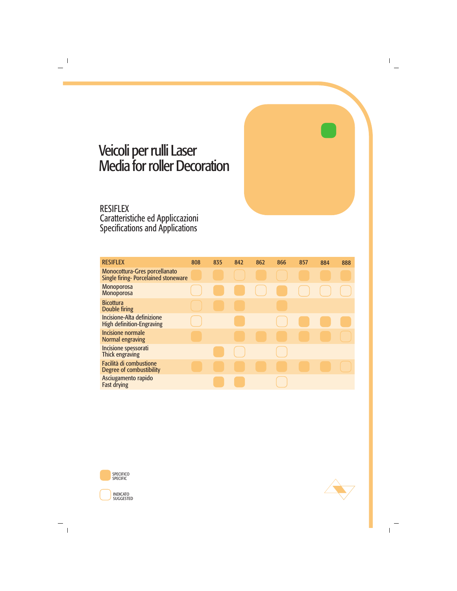### Veicoli per rulli Laser Media for roller Decoration

#### RESIFLEX Caratteristiche ed Appliccazioni Specifications and Applications

| <b>RESIFLEX</b>                                                             | 808 | 835 | 842 | 862                                            | 866 | 857 | 884 | 888 |
|-----------------------------------------------------------------------------|-----|-----|-----|------------------------------------------------|-----|-----|-----|-----|
| Monocottura-Gres porcellanato<br><b>Single firing-Porcelained stoneware</b> |     |     |     |                                                |     |     |     |     |
| <b>Monoporosa</b><br>Monoporosa                                             |     |     |     | $\begin{pmatrix} 1 & 1 \\ 1 & 1 \end{pmatrix}$ |     |     |     |     |
| <b>Bicottura</b><br><b>Double firing</b>                                    |     |     |     |                                                |     |     |     |     |
| Incisione-Alta definizione<br><b>High definition-Engraving</b>              |     |     |     |                                                |     |     |     |     |
| <b>Incisione normale</b><br><b>Normal engraving</b>                         |     |     |     |                                                |     |     |     |     |
| Incisione spessorati<br>Thick engraving                                     |     |     |     |                                                |     |     |     |     |
| Facilità di combustione<br>Degree of combustibility                         |     |     |     |                                                |     |     |     |     |
| Asciugamento rapido<br><b>Fast drying</b>                                   |     |     |     |                                                |     |     |     |     |



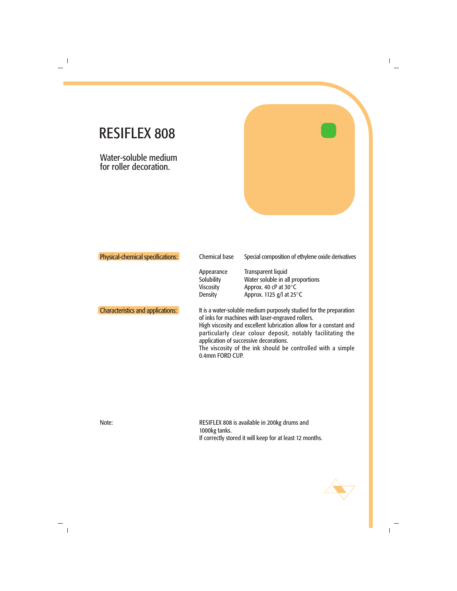Water-soluble medium for roller decoration.

| <b>Physical-chemical specifications:</b> | <b>Chemical base</b>                                                  | Special composition of ethylene oxide derivatives                                                                                                                                                                                                                                                                                                                    |
|------------------------------------------|-----------------------------------------------------------------------|----------------------------------------------------------------------------------------------------------------------------------------------------------------------------------------------------------------------------------------------------------------------------------------------------------------------------------------------------------------------|
|                                          | Appearance<br><b>Solubility</b><br><b>Viscosity</b><br><b>Density</b> | <b>Transparent liquid</b><br>Water soluble in all proportions<br>Approx. 40 cP at 30°C<br>Approx. 1125 $g$ /l at 25 $\degree$ C                                                                                                                                                                                                                                      |
| <b>Characteristics and applications:</b> | 0.4mm FORD CUP.                                                       | It is a water-soluble medium purposely studied for the preparation<br>of inks for machines with laser-engraved rollers.<br>High viscosity and excellent lubrication allow for a constant and<br>particularly clear colour deposit, notably facilitating the<br>application of successive decorations.<br>The viscosity of the ink should be controlled with a simple |

Note: RESIFLEX 808 is available in 200kg drums and 1000kg tanks. If correctly stored it will keep for at least 12 months.

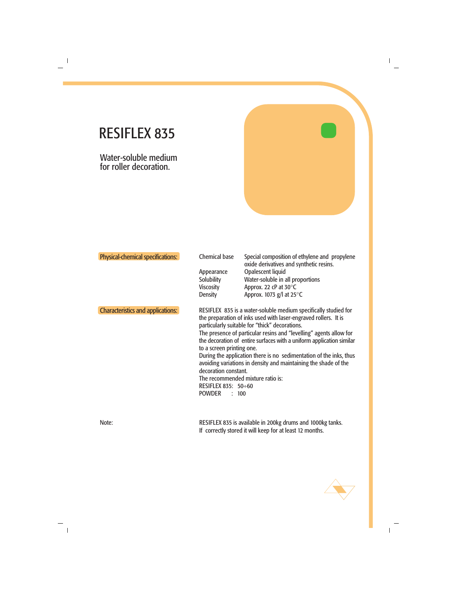Water-soluble medium for roller decoration.

| Physical-chemical specifications:        | <b>Chemical base</b><br>Appearance<br><b>Solubility</b><br><b>Viscosity</b><br><b>Density</b>      | Special composition of ethylene and propylene<br>oxide derivatives and synthetic resins.<br>Opalescent liquid<br>Water-soluble in all proportions<br>Approx. 22 cP at 30°C<br>Approx. 1073 $g$ /l at 25 $\degree$ C                                                                                                                                                                                                                                                                                              |
|------------------------------------------|----------------------------------------------------------------------------------------------------|------------------------------------------------------------------------------------------------------------------------------------------------------------------------------------------------------------------------------------------------------------------------------------------------------------------------------------------------------------------------------------------------------------------------------------------------------------------------------------------------------------------|
| <b>Characteristics and applications:</b> | to a screen printing one.<br>decoration constant.<br>RESIFLEX 835: 50÷60<br><b>POWDER</b><br>: 100 | RESIFLEX 835 is a water-soluble medium specifically studied for<br>the preparation of inks used with laser-engraved rollers. It is<br>particularly suitable for "thick" decorations.<br>The presence of particular resins and "levelling" agents allow for<br>the decoration of entire surfaces with a uniform application similar<br>During the application there is no sedimentation of the inks, thus<br>avoiding variations in density and maintaining the shade of the<br>The recommended mixture ratio is: |
| Noto:                                    |                                                                                                    | DECIELEV 975 is available in 200kg drums and 1000kg tanks                                                                                                                                                                                                                                                                                                                                                                                                                                                        |

Note: RESIFLEX 835 is available in 200kg drums and 1000kg tanks. If correctly stored it will keep for at least 12 months.

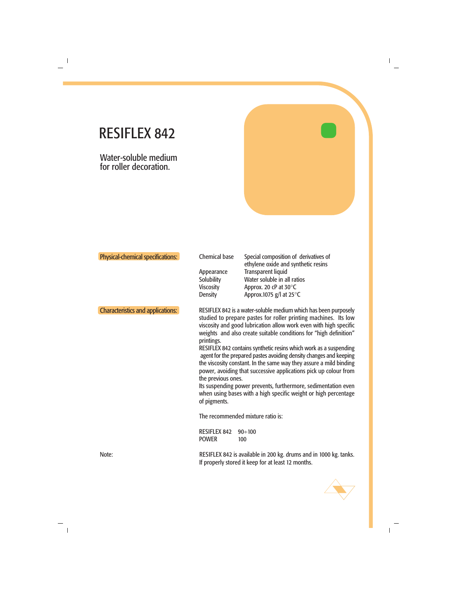Water-soluble medium for roller decoration.

| Physical-chemical specifications:        | <b>Chemical base</b><br>Appearance<br><b>Solubility</b><br><b>Viscosity</b><br><b>Density</b> | Special composition of derivatives of<br>ethylene oxide and synthetic resins<br><b>Transparent liquid</b><br>Water soluble in all ratios<br>Approx. 20 cP at 30°C<br>Approx.1075 g/l at 25°C                                                                                                                                                                                                                                                                                                                                                                                                                                                                                                                                                                        |
|------------------------------------------|-----------------------------------------------------------------------------------------------|---------------------------------------------------------------------------------------------------------------------------------------------------------------------------------------------------------------------------------------------------------------------------------------------------------------------------------------------------------------------------------------------------------------------------------------------------------------------------------------------------------------------------------------------------------------------------------------------------------------------------------------------------------------------------------------------------------------------------------------------------------------------|
| <b>Characteristics and applications:</b> | printings.<br>the previous ones.<br>of pigments.<br><b>RESIFLEX 842</b><br><b>POWER</b>       | RESIFLEX 842 is a water-soluble medium which has been purposely<br>studied to prepare pastes for roller printing machines. Its low<br>viscosity and good lubrication allow work even with high specific<br>weights and also create suitable conditions for "high definition"<br>RESIFLEX 842 contains synthetic resins which work as a suspending<br>agent for the prepared pastes avoiding density changes and keeping<br>the viscosity constant. In the same way they assure a mild binding<br>power, avoiding that successive applications pick up colour from<br>Its suspending power prevents, furthermore, sedimentation even<br>when using bases with a high specific weight or high percentage<br>The recommended mixture ratio is:<br>$90 \div 100$<br>100 |
| Note:                                    |                                                                                               | RESIFLEX 842 is available in 200 kg. drums and in 1000 kg. tanks.<br>If properly stored it keep for at least 12 months.                                                                                                                                                                                                                                                                                                                                                                                                                                                                                                                                                                                                                                             |

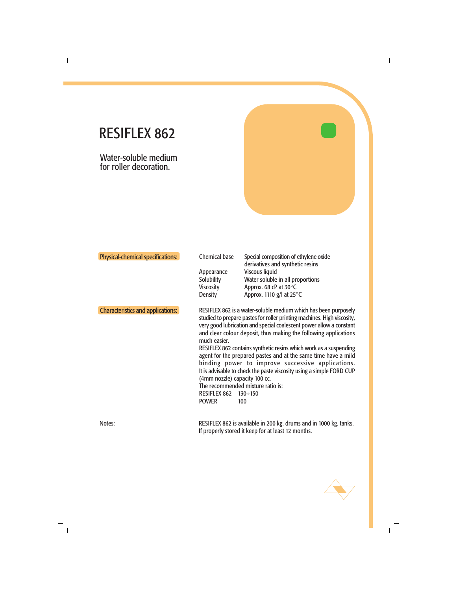Water-soluble medium for roller decoration.

| <b>Physical-chemical specifications:</b> | <b>Chemical base</b><br>Appearance<br><b>Solubility</b><br><b>Viscosity</b><br><b>Density</b>                                                                                                                                                                                                                                                                                                                                                                                                                                                                                                                                                                                                                   | Special composition of ethylene oxide<br>derivatives and synthetic resins<br><b>Viscous liquid</b><br>Water soluble in all proportions<br>Approx. 68 cP at 30°C<br>Approx. 1110 $g$ /l at 25 $\degree$ C |
|------------------------------------------|-----------------------------------------------------------------------------------------------------------------------------------------------------------------------------------------------------------------------------------------------------------------------------------------------------------------------------------------------------------------------------------------------------------------------------------------------------------------------------------------------------------------------------------------------------------------------------------------------------------------------------------------------------------------------------------------------------------------|----------------------------------------------------------------------------------------------------------------------------------------------------------------------------------------------------------|
| <b>Characteristics and applications:</b> | RESIFLEX 862 is a water-soluble medium which has been purposely<br>studied to prepare pastes for roller printing machines. High viscosity,<br>very good lubrication and special coalescent power allow a constant<br>and clear colour deposit, thus making the following applications<br>much easier.<br>RESIFLEX 862 contains synthetic resins which work as a suspending<br>agent for the prepared pastes and at the same time have a mild<br>binding power to improve successive applications.<br>It is advisable to check the paste viscosity using a simple FORD CUP<br>(4mm nozzle) capacity 100 cc.<br>The recommended mixture ratio is:<br><b>RESIFLEX 862</b><br>$130 \div 150$<br><b>POWER</b><br>100 |                                                                                                                                                                                                          |
| Notes:                                   |                                                                                                                                                                                                                                                                                                                                                                                                                                                                                                                                                                                                                                                                                                                 | RESIFLEX 862 is available in 200 kg. drums and in 1000 kg. tanks.<br>If properly stored it keep for at least 12 months.                                                                                  |

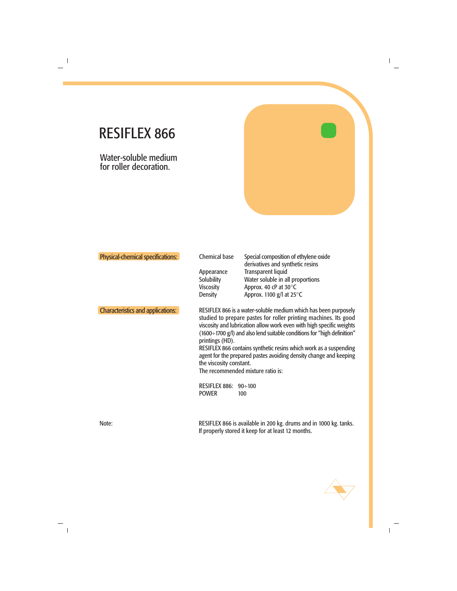Water-soluble medium for roller decoration.

| <b>Physical-chemical specifications:</b> | <b>Chemical base</b><br>Appearance<br><b>Solubility</b><br><b>Viscosity</b><br><b>Density</b> | Special composition of ethylene oxide<br>derivatives and synthetic resins<br><b>Transparent liquid</b><br>Water soluble in all proportions<br>Approx. 40 cP at 30°C<br>Approx. 1100 $g$ /l at 25 $\degree$ C                                                                                                                                                                                                                                                                                |
|------------------------------------------|-----------------------------------------------------------------------------------------------|---------------------------------------------------------------------------------------------------------------------------------------------------------------------------------------------------------------------------------------------------------------------------------------------------------------------------------------------------------------------------------------------------------------------------------------------------------------------------------------------|
| <b>Characteristics and applications:</b> | printings (HD).<br>the viscosity constant.<br>RESIFLEX 886: 90÷100<br><b>POWER</b>            | RESIFLEX 866 is a water-soluble medium which has been purposely<br>studied to prepare pastes for roller printing machines. Its good<br>viscosity and lubrication allow work even with high specific weights<br>$(1600 \div 1700 \text{ g/l})$ and also lend suitable conditions for "high definition"<br>RESIFLEX 866 contains synthetic resins which work as a suspending<br>agent for the prepared pastes avoiding density change and keeping<br>The recommended mixture ratio is:<br>100 |
| Note:                                    |                                                                                               | RESIFLEX 866 is available in 200 kg. drums and in 1000 kg. tanks.<br>If properly stored it keep for at least 12 months.                                                                                                                                                                                                                                                                                                                                                                     |

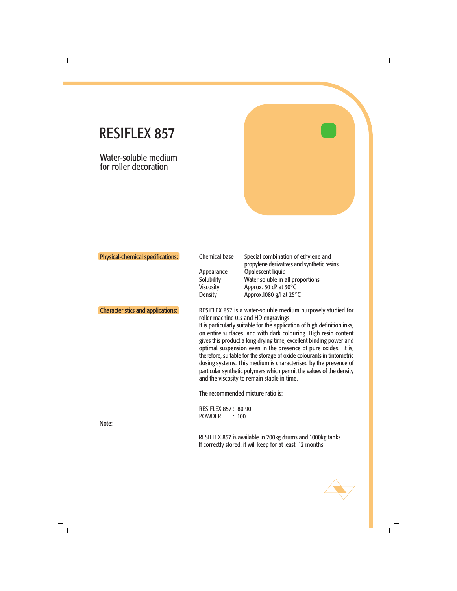Water-soluble medium for roller decoration

|                                          | <b>Viscosity</b><br><b>Density</b>                                                                                                                                                                                                                                                                                                                                                                                                                                                                                                                                                                                                                                                                   | Water soluble in all proportions<br>Approx. 50 cP at 30°C<br>Approx.1080 g/l at $25^{\circ}$ C |
|------------------------------------------|------------------------------------------------------------------------------------------------------------------------------------------------------------------------------------------------------------------------------------------------------------------------------------------------------------------------------------------------------------------------------------------------------------------------------------------------------------------------------------------------------------------------------------------------------------------------------------------------------------------------------------------------------------------------------------------------------|------------------------------------------------------------------------------------------------|
| <b>Characteristics and applications:</b> | RESIFLEX 857 is a water-soluble medium purposely studied for<br>roller machine 0.3 and HD engravings.<br>It is particularly suitable for the application of high definition inks,<br>on entire surfaces and with dark colouring. High resin content<br>gives this product a long drying time, excellent binding power and<br>optimal suspension even in the presence of pure oxides. It is,<br>therefore, suitable for the storage of oxide colourants in tintometric<br>dosing systems. This medium is characterised by the presence of<br>particular synthetic polymers which permit the values of the density<br>and the viscosity to remain stable in time.<br>The recommended mixture ratio is: |                                                                                                |
| Note:                                    | <b>RESIFLEX 857: 80-90</b><br><b>POWDER</b>                                                                                                                                                                                                                                                                                                                                                                                                                                                                                                                                                                                                                                                          | : 100<br>RESIFLEX 857 is available in 200kg drums and 1000kg tanks.                            |

If correctly stored, it will keep for at least 12 months.

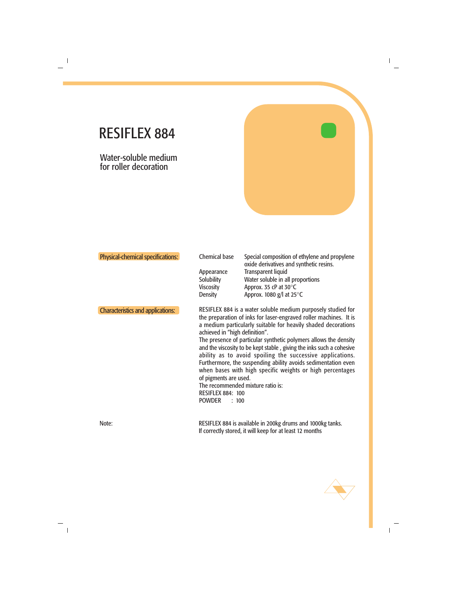Water-soluble medium for roller decoration

| Physical-chemical specifications:        | <b>Chemical base</b><br>Appearance<br><b>Solubility</b><br><b>Viscosity</b><br><b>Density</b>                                                      | Special composition of ethylene and propylene<br>oxide derivatives and synthetic resins.<br><b>Transparent liquid</b><br>Water soluble in all proportions<br>Approx. 35 cP at 30°C<br>Approx. 1080 g/l at 25°C                                                                                                                                                                                                                                                                                                                            |
|------------------------------------------|----------------------------------------------------------------------------------------------------------------------------------------------------|-------------------------------------------------------------------------------------------------------------------------------------------------------------------------------------------------------------------------------------------------------------------------------------------------------------------------------------------------------------------------------------------------------------------------------------------------------------------------------------------------------------------------------------------|
| <b>Characteristics and applications:</b> | achieved in "high definition".<br>of pigments are used.<br>The recommended mixture ratio is:<br><b>RESIFLEX 884: 100</b><br><b>POWDER</b><br>: 100 | RESIFLEX 884 is a water soluble medium purposely studied for<br>the preparation of inks for laser-engraved roller machines. It is<br>a medium particularly suitable for heavily shaded decorations<br>The presence of particular synthetic polymers allows the density<br>and the viscosity to be kept stable, giving the inks such a cohesive<br>ability as to avoid spoiling the successive applications.<br>Furthermore, the suspending ability avoids sedimentation even<br>when bases with high specific weights or high percentages |
| Note:                                    |                                                                                                                                                    | RESIFLEX 884 is available in 200kg drums and 1000kg tanks.<br>If correctly stored, it will keep for at least 12 months                                                                                                                                                                                                                                                                                                                                                                                                                    |

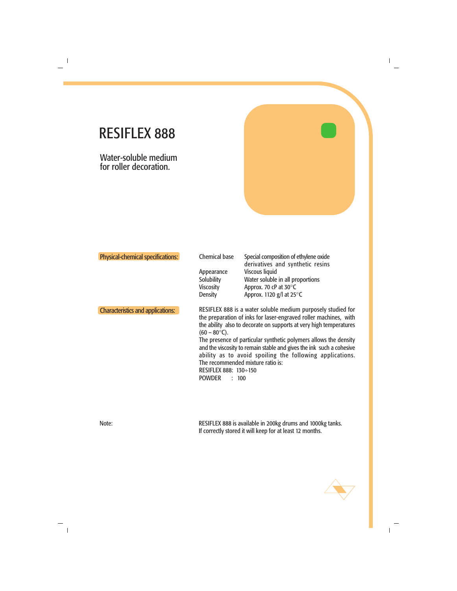Water-soluble medium for roller decoration.

| Physical-chemical specifications:        | <b>Chemical base</b><br>Appearance<br>Solubility<br><b>Viscosity</b><br><b>Density</b> | Special composition of ethylene oxide<br>derivatives and synthetic resins<br><b>Viscous liquid</b><br>Water soluble in all proportions<br>Approx. 70 cP at 30°C<br>Approx. 1120 $g$ /l at 25 $\degree$ C                                                                                                                                                                                                                                            |
|------------------------------------------|----------------------------------------------------------------------------------------|-----------------------------------------------------------------------------------------------------------------------------------------------------------------------------------------------------------------------------------------------------------------------------------------------------------------------------------------------------------------------------------------------------------------------------------------------------|
| <b>Characteristics and applications:</b> | $(60 - 80^{\circ}C)$ .<br>RESIFLEX 888: 130÷150<br><b>POWDER</b><br>: 100              | RESIFLEX 888 is a water soluble medium purposely studied for<br>the preparation of inks for laser-engraved roller machines, with<br>the ability also to decorate on supports at very high temperatures<br>The presence of particular synthetic polymers allows the density<br>and the viscosity to remain stable and gives the ink such a cohesive<br>ability as to avoid spoiling the following applications.<br>The recommended mixture ratio is: |

Note: RESIFLEX 888 is available in 200kg drums and 1000kg tanks. If correctly stored it will keep for at least 12 months.

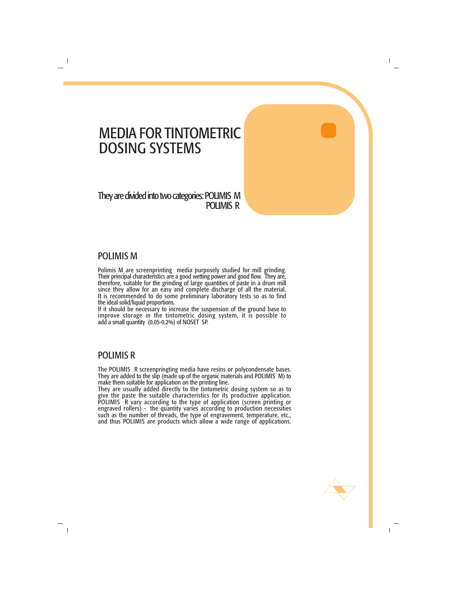### MEDIA FOR TINTOMETRIC DOSING SYSTEMS

#### They are divided into two categories: POLIMIS M POLIMIS R

#### POLIMIS M

Polimis M are screenprinting media purposely studied for mill grinding. Their principal characteristics are a good wetting power and good flow. They are, therefore, suitable for the grinding of large quantities of paste in a drum mill since they allow for an easy and complete discharge of all the material. It is recommended to do some preliminary laboratory tests so as to find the ideal solid/liquid proportions.

If it should be necessary to increase the suspension of the ground base to improve storage in the tintometric dosing system, it is possible to add a small quantity (0.05-0.2%) of NOSET SP.

#### POLIMIS R

The POLIMIS R screenpringting media have resins or polycondensate bases. They are added to the slip (made up of the organic materials and POLIMIS M) to make them suitable for application on the printing line.

They are usually added directly to the tintometric dosing system so as to give the paste the suitable characteristics for its productive application. POLIMIS R vary according to the type of application (screen printing or engraved rollers) - the quantity varies according to production necessities such as the number of threads, the type of engravement, temperature, etc., and thus POLIMIS are products which allow a wide range of applications.